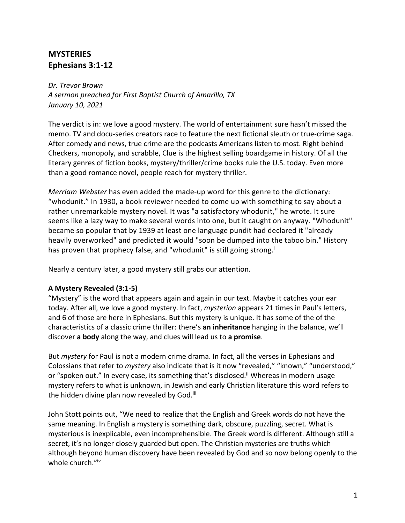## **MYSTERIES Ephesians 3:1-12**

*Dr. Trevor Brown A sermon preached for First Baptist Church of Amarillo, TX January 10, 2021* 

The verdict is in: we love a good mystery. The world of entertainment sure hasn't missed the memo. TV and docu-series creators race to feature the next fictional sleuth or true-crime saga. After comedy and news, true crime are the podcasts Americans listen to most. Right behind Checkers, monopoly, and scrabble, Clue is the highest selling boardgame in history. Of all the literary genres of fiction books, mystery/thriller/crime books rule the U.S. today. Even more than a good romance novel, people reach for mystery thriller.

*Merriam Webster* has even added the made-up word for this genre to the dictionary: "whodunit." In 1930, a book reviewer needed to come up with something to say about a rather unremarkable mystery novel. It was "a satisfactory whodunit," he wrote. It sure seems like a lazy way to make several words into one, but it caught on anyway. "Whodunit" became so popular that by 1939 at least one language pundit had declared it "already heavily overworked" and predicted it would "soon be dumped into the taboo bin." History has proven that prophecy false, and "whodunit" is still going strong.<sup>i</sup>

Nearly a century later, a good mystery still grabs our attention.

## **A Mystery Revealed (3:1-5)**

"Mystery" is the word that appears again and again in our text. Maybe it catches your ear today. After all, we love a good mystery. In fact, *mysterion* appears 21 times in Paul's letters, and 6 of those are here in Ephesians. But this mystery is unique. It has some of the of the characteristics of a classic crime thriller: there's **an inheritance** hanging in the balance, we'll discover **a body** along the way, and clues will lead us to **a promise**.

But *mystery* for Paul is not a modern crime drama. In fact, all the verses in Ephesians and Colossians that refer to *mystery* also indicate that is it now "revealed," "known," "understood," or "spoken out." In every case, its something that's disclosed.<sup>ii</sup> Whereas in modern usage mystery refers to what is unknown, in Jewish and early Christian literature this word refers to the hidden divine plan now revealed by God.<sup>iii</sup>

John Stott points out, "We need to realize that the English and Greek words do not have the same meaning. In English a mystery is something dark, obscure, puzzling, secret. What is mysterious is inexplicable, even incomprehensible. The Greek word is different. Although still a secret, it's no longer closely guarded but open. The Christian mysteries are truths which although beyond human discovery have been revealed by God and so now belong openly to the whole church."iv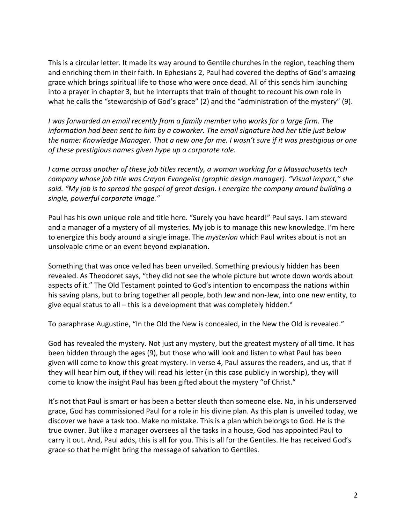This is a circular letter. It made its way around to Gentile churches in the region, teaching them and enriching them in their faith. In Ephesians 2, Paul had covered the depths of God's amazing grace which brings spiritual life to those who were once dead. All of this sends him launching into a prayer in chapter 3, but he interrupts that train of thought to recount his own role in what he calls the "stewardship of God's grace" (2) and the "administration of the mystery" (9).

*I was forwarded an email recently from a family member who works for a large firm. The information had been sent to him by a coworker. The email signature had her title just below the name: Knowledge Manager. That a new one for me. I wasn't sure if it was prestigious or one of these prestigious names given hype up a corporate role.* 

*I came across another of these job titles recently, a woman working for a Massachusetts tech company whose job title was Crayon Evangelist (graphic design manager). "Visual impact," she said. "My job is to spread the gospel of great design. I energize the company around building a single, powerful corporate image."*

Paul has his own unique role and title here. "Surely you have heard!" Paul says. I am steward and a manager of a mystery of all mysteries. My job is to manage this new knowledge. I'm here to energize this body around a single image. The *mysterion* which Paul writes about is not an unsolvable crime or an event beyond explanation.

Something that was once veiled has been unveiled. Something previously hidden has been revealed. As Theodoret says, "they did not see the whole picture but wrote down words about aspects of it." The Old Testament pointed to God's intention to encompass the nations within his saving plans, but to bring together all people, both Jew and non-Jew, into one new entity, to give equal status to all  $-$  this is a development that was completely hidden. $v$ 

To paraphrase Augustine, "In the Old the New is concealed, in the New the Old is revealed."

God has revealed the mystery. Not just any mystery, but the greatest mystery of all time. It has been hidden through the ages (9), but those who will look and listen to what Paul has been given will come to know this great mystery. In verse 4, Paul assures the readers, and us, that if they will hear him out, if they will read his letter (in this case publicly in worship), they will come to know the insight Paul has been gifted about the mystery "of Christ."

It's not that Paul is smart or has been a better sleuth than someone else. No, in his underserved grace, God has commissioned Paul for a role in his divine plan. As this plan is unveiled today, we discover we have a task too. Make no mistake. This is a plan which belongs to God. He is the true owner. But like a manager oversees all the tasks in a house, God has appointed Paul to carry it out. And, Paul adds, this is all for you. This is all for the Gentiles. He has received God's grace so that he might bring the message of salvation to Gentiles.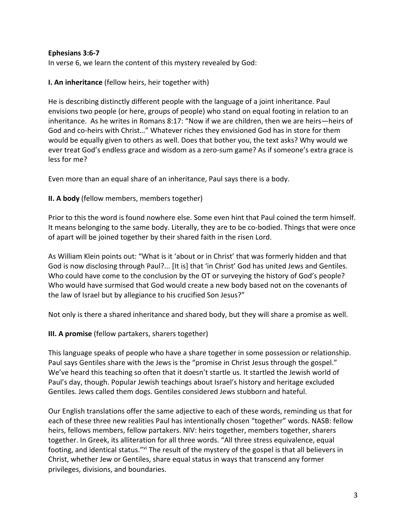## **Ephesians 3:6-7**

In verse 6, we learn the content of this mystery revealed by God:

**I. An inheritance** (fellow heirs, heir together with)

He is describing distinctly different people with the language of a joint inheritance. Paul envisions two people (or here, groups of people) who stand on equal footing in relation to an inheritance. As he writes in Romans 8:17: "Now if we are children, then we are heirs—heirs of God and co-heirs with Christ…" Whatever riches they envisioned God has in store for them would be equally given to others as well. Does that bother you, the text asks? Why would we ever treat God's endless grace and wisdom as a zero-sum game? As if someone's extra grace is less for me?

Even more than an equal share of an inheritance, Paul says there is a body.

**II. A body** (fellow members, members together)

Prior to this the word is found nowhere else. Some even hint that Paul coined the term himself. It means belonging to the same body. Literally, they are to be co-bodied. Things that were once of apart will be joined together by their shared faith in the risen Lord.

As William Klein points out: "What is it 'about or in Christ' that was formerly hidden and that God is now disclosing through Paul?... [It is] that 'in Christ' God has united Jews and Gentiles. Who could have come to the conclusion by the OT or surveying the history of God's people? Who would have surmised that God would create a new body based not on the covenants of the law of Israel but by allegiance to his crucified Son Jesus?"

Not only is there a shared inheritance and shared body, but they will share a promise as well.

**III. A promise** (fellow partakers, sharers together)

This language speaks of people who have a share together in some possession or relationship. Paul says Gentiles share with the Jews is the "promise in Christ Jesus through the gospel." We've heard this teaching so often that it doesn't startle us. It startled the Jewish world of Paul's day, though. Popular Jewish teachings about Israel's history and heritage excluded Gentiles. Jews called them dogs. Gentiles considered Jews stubborn and hateful.

Our English translations offer the same adjective to each of these words, reminding us that for each of these three new realities Paul has intentionally chosen "together" words. NASB: fellow heirs, fellows members, fellow partakers. NIV: heirs together, members together, sharers together. In Greek, its alliteration for all three words. "All three stress equivalence, equal footing, and identical status."<sup>vi</sup> The result of the mystery of the gospel is that all believers in Christ, whether Jew or Gentiles, share equal status in ways that transcend any former privileges, divisions, and boundaries.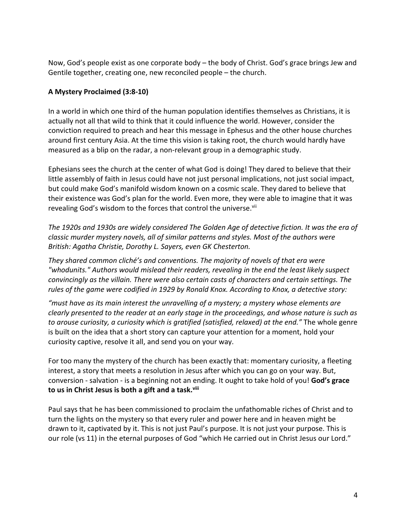Now, God's people exist as one corporate body – the body of Christ. God's grace brings Jew and Gentile together, creating one, new reconciled people – the church.

## **A Mystery Proclaimed (3:8-10)**

In a world in which one third of the human population identifies themselves as Christians, it is actually not all that wild to think that it could influence the world. However, consider the conviction required to preach and hear this message in Ephesus and the other house churches around first century Asia. At the time this vision is taking root, the church would hardly have measured as a blip on the radar, a non-relevant group in a demographic study.

Ephesians sees the church at the center of what God is doing! They dared to believe that their little assembly of faith in Jesus could have not just personal implications, not just social impact, but could make God's manifold wisdom known on a cosmic scale. They dared to believe that their existence was God's plan for the world. Even more, they were able to imagine that it was revealing God's wisdom to the forces that control the universe.<sup>vii</sup>

*The 1920s and 1930s are widely considered The Golden Age of detective fiction. It was the era of classic murder mystery novels, all of similar patterns and styles. Most of the authors were British: Agatha Christie, Dorothy L. Sayers, even GK Chesterton.*

*They shared common cliché's and conventions. The majority of novels of that era were "whodunits." Authors would mislead their readers, revealing in the end the least likely suspect convincingly as the villain. There were also certain casts of characters and certain settings. The rules of the game were codified in 1929 by Ronald Knox. According to Knox, a detective story:*

*"must have as its main interest the unravelling of a mystery; a mystery whose elements are clearly presented to the reader at an early stage in the proceedings, and whose nature is such as to arouse curiosity, a curiosity which is gratified (satisfied, relaxed) at the end."* The whole genre is built on the idea that a short story can capture your attention for a moment, hold your curiosity captive, resolve it all, and send you on your way.

For too many the mystery of the church has been exactly that: momentary curiosity, a fleeting interest, a story that meets a resolution in Jesus after which you can go on your way. But, conversion - salvation - is a beginning not an ending. It ought to take hold of you! **God's grace to us in Christ Jesus is both a gift and a task.viii**

Paul says that he has been commissioned to proclaim the unfathomable riches of Christ and to turn the lights on the mystery so that every ruler and power here and in heaven might be drawn to it, captivated by it. This is not just Paul's purpose. It is not just your purpose. This is our role (vs 11) in the eternal purposes of God "which He carried out in Christ Jesus our Lord."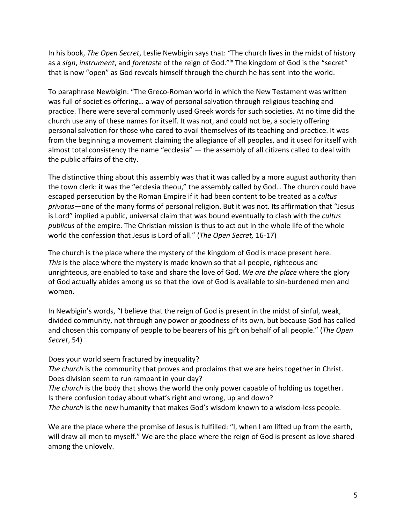In his book, *The Open Secret*, Leslie Newbigin says that: "The church lives in the midst of history as a *sign*, *instrument*, and *foretaste* of the reign of God."ix The kingdom of God is the "secret" that is now "open" as God reveals himself through the church he has sent into the world.

To paraphrase Newbigin: "The Greco-Roman world in which the New Testament was written was full of societies offering… a way of personal salvation through religious teaching and practice. There were several commonly used Greek words for such societies. At no time did the church use any of these names for itself. It was not, and could not be, a society offering personal salvation for those who cared to avail themselves of its teaching and practice. It was from the beginning a movement claiming the allegiance of all peoples, and it used for itself with almost total consistency the name "ecclesia" — the assembly of all citizens called to deal with the public affairs of the city.

The distinctive thing about this assembly was that it was called by a more august authority than the town clerk: it was the "ecclesia theou," the assembly called by God… The church could have escaped persecution by the Roman Empire if it had been content to be treated as a *cultus privatus*—one of the many forms of personal religion. But it was not. Its affirmation that "Jesus is Lord" implied a public, universal claim that was bound eventually to clash with the *cultus publicus* of the empire. The Christian mission is thus to act out in the whole life of the whole world the confession that Jesus is Lord of all." (*The Open Secret,* 16-17)

The church is the place where the mystery of the kingdom of God is made present here. *This* is the place where the mystery is made known so that all people, righteous and unrighteous, are enabled to take and share the love of God. *We are the place* where the glory of God actually abides among us so that the love of God is available to sin-burdened men and women.

In Newbigin's words, "I believe that the reign of God is present in the midst of sinful, weak, divided community, not through any power or goodness of its own, but because God has called and chosen this company of people to be bearers of his gift on behalf of all people." (*The Open Secret*, 54)

Does your world seem fractured by inequality?

*The church* is the community that proves and proclaims that we are heirs together in Christ. Does division seem to run rampant in your day?

*The church* is the body that shows the world the only power capable of holding us together. Is there confusion today about what's right and wrong, up and down?

*The church* is the new humanity that makes God's wisdom known to a wisdom-less people.

We are the place where the promise of Jesus is fulfilled: "I, when I am lifted up from the earth, will draw all men to myself." We are the place where the reign of God is present as love shared among the unlovely.